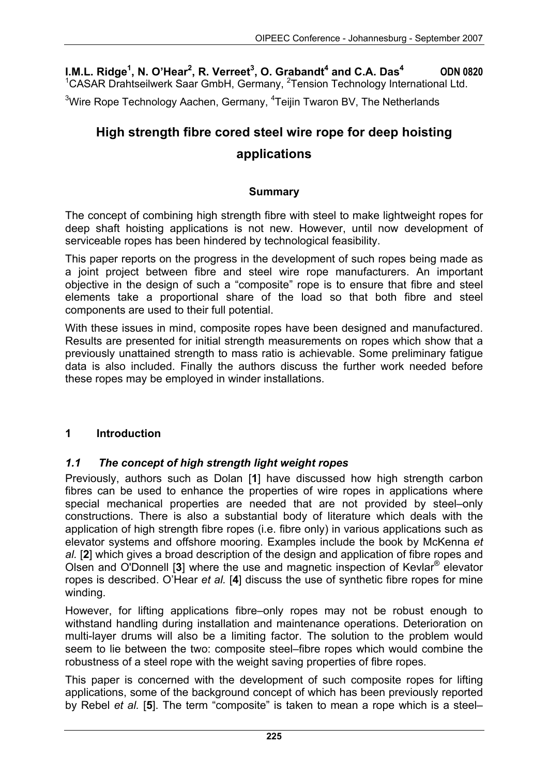**I.M.L. Ridge<sup>1</sup>, N. O'Hear<sup>2</sup>, R. Verreet<sup>3</sup>, O. Grabandt<sup>4</sup> and C.A. Das<sup>4</sup> ODN 0820** <sup>1</sup>CASAR Drahtseilwerk Saar GmbH, Germany, <sup>2</sup>Tension Technology International Ltd.

<sup>3</sup>Wire Rope Technology Aachen, Germany, <sup>4</sup>Teijin Twaron BV, The Netherlands

# **High strength fibre cored steel wire rope for deep hoisting applications**

#### **Summary**

The concept of combining high strength fibre with steel to make lightweight ropes for deep shaft hoisting applications is not new. However, until now development of serviceable ropes has been hindered by technological feasibility.

This paper reports on the progress in the development of such ropes being made as a joint project between fibre and steel wire rope manufacturers. An important objective in the design of such a "composite" rope is to ensure that fibre and steel elements take a proportional share of the load so that both fibre and steel components are used to their full potential.

With these issues in mind, composite ropes have been designed and manufactured. Results are presented for initial strength measurements on ropes which show that a previously unattained strength to mass ratio is achievable. Some preliminary fatigue data is also included. Finally the authors discuss the further work needed before these ropes may be employed in winder installations.

#### **1 Introduction**

#### *1.1 The concept of high strength light weight ropes*

Previously, authors such as Dolan [**1**] have discussed how high strength carbon fibres can be used to enhance the properties of wire ropes in applications where special mechanical properties are needed that are not provided by steel–only constructions. There is also a substantial body of literature which deals with the application of high strength fibre ropes (i.e. fibre only) in various applications such as elevator systems and offshore mooring. Examples include the book by McKenna *et al.* [**2**] which gives a broad description of the design and application of fibre ropes and Olsen and O'Donnell [**3**] where the use and magnetic inspection of Kevlar® elevator ropes is described. O'Hear *et al.* [**4**] discuss the use of synthetic fibre ropes for mine winding.

However, for lifting applications fibre–only ropes may not be robust enough to withstand handling during installation and maintenance operations. Deterioration on multi-layer drums will also be a limiting factor. The solution to the problem would seem to lie between the two: composite steel–fibre ropes which would combine the robustness of a steel rope with the weight saving properties of fibre ropes.

This paper is concerned with the development of such composite ropes for lifting applications, some of the background concept of which has been previously reported by Rebel *et al.* [**5**]. The term "composite" is taken to mean a rope which is a steel–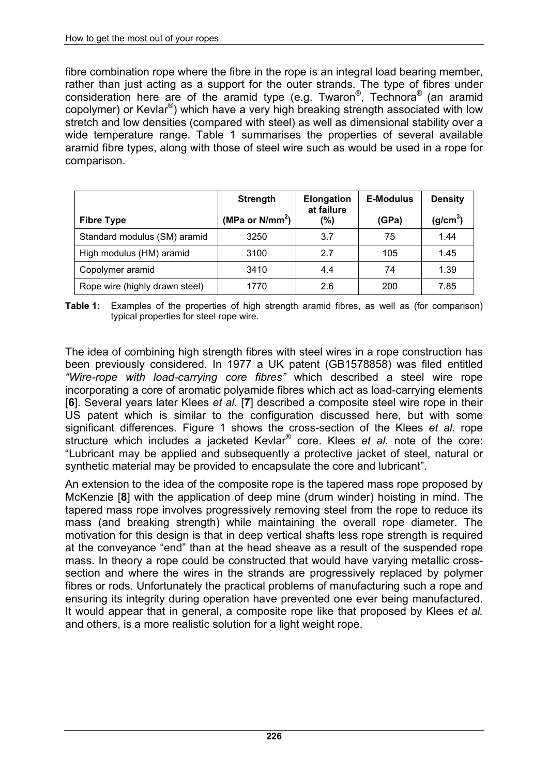fibre combination rope where the fibre in the rope is an integral load bearing member, rather than just acting as a support for the outer strands. The type of fibres under consideration here are of the aramid type (e.g. Twaron®, Technora® (an aramid copolymer) or Kevlar®) which have a very high breaking strength associated with low stretch and low densities (compared with steel) as well as dimensional stability over a wide temperature range. Table 1 summarises the properties of several available aramid fibre types, along with those of steel wire such as would be used in a rope for comparison.

|                                | <b>Strength</b>    | <b>Elongation</b><br>at failure | <b>E-Modulus</b> | <b>Density</b>       |
|--------------------------------|--------------------|---------------------------------|------------------|----------------------|
| <b>Fibre Type</b>              | (MPa or $N/mm^2$ ) | (%)                             | (GPa)            | (g/cm <sup>3</sup> ) |
| Standard modulus (SM) aramid   | 3250               | 3.7                             | 75               | 1.44                 |
| High modulus (HM) aramid       | 3100               | 27                              | 105              | 1.45                 |
| Copolymer aramid               | 3410               | 4.4                             | 74               | 1.39                 |
| Rope wire (highly drawn steel) | 1770               | 2.6                             | 200              | 7.85                 |

**Table 1:** Examples of the properties of high strength aramid fibres, as well as (for comparison) typical properties for steel rope wire.

The idea of combining high strength fibres with steel wires in a rope construction has been previously considered. In 1977 a UK patent (GB1578858) was filed entitled *"Wire-rope with load-carrying core fibres"* which described a steel wire rope incorporating a core of aromatic polyamide fibres which act as load-carrying elements [**6**]. Several years later Klees *et al.* [**7**] described a composite steel wire rope in their US patent which is similar to the configuration discussed here, but with some significant differences. Figure 1 shows the cross-section of the Klees *et al.* rope structure which includes a jacketed Kevlar® core. Klees *et al.* note of the core: "Lubricant may be applied and subsequently a protective jacket of steel, natural or synthetic material may be provided to encapsulate the core and lubricant".

An extension to the idea of the composite rope is the tapered mass rope proposed by McKenzie [**8**] with the application of deep mine (drum winder) hoisting in mind. The tapered mass rope involves progressively removing steel from the rope to reduce its mass (and breaking strength) while maintaining the overall rope diameter. The motivation for this design is that in deep vertical shafts less rope strength is required at the conveyance "end" than at the head sheave as a result of the suspended rope mass. In theory a rope could be constructed that would have varying metallic crosssection and where the wires in the strands are progressively replaced by polymer fibres or rods. Unfortunately the practical problems of manufacturing such a rope and ensuring its integrity during operation have prevented one ever being manufactured. It would appear that in general, a composite rope like that proposed by Klees *et al.*  and others, is a more realistic solution for a light weight rope.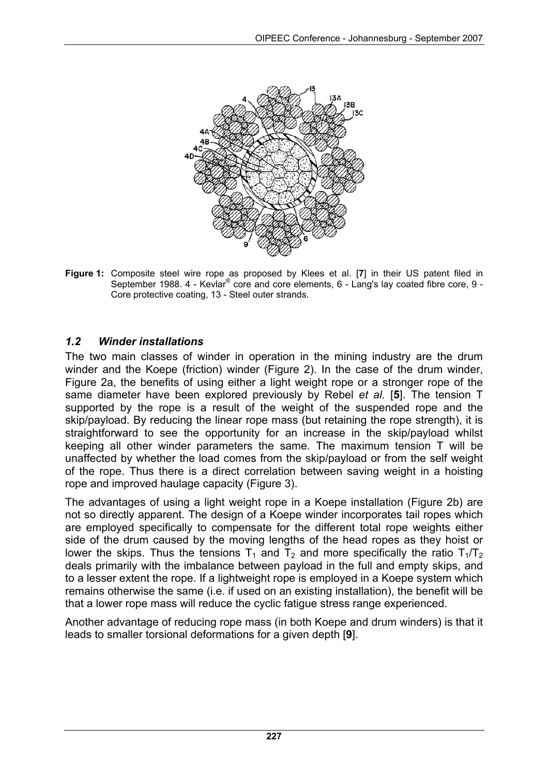

**Figure 1:** Composite steel wire rope as proposed by Klees et al. [**7**] in their US patent filed in September 1988. 4 - Kevlar<sup>®</sup> core and core elements, 6 - Lang's lay coated fibre core, 9 -Core protective coating, 13 - Steel outer strands.

# *1.2 Winder installations*

The two main classes of winder in operation in the mining industry are the drum winder and the Koepe (friction) winder (Figure 2). In the case of the drum winder, Figure 2a, the benefits of using either a light weight rope or a stronger rope of the same diameter have been explored previously by Rebel *et al.* [**5**]. The tension T supported by the rope is a result of the weight of the suspended rope and the skip/payload. By reducing the linear rope mass (but retaining the rope strength), it is straightforward to see the opportunity for an increase in the skip/payload whilst keeping all other winder parameters the same. The maximum tension T will be unaffected by whether the load comes from the skip/payload or from the self weight of the rope. Thus there is a direct correlation between saving weight in a hoisting rope and improved haulage capacity (Figure 3).

The advantages of using a light weight rope in a Koepe installation (Figure 2b) are not so directly apparent. The design of a Koepe winder incorporates tail ropes which are employed specifically to compensate for the different total rope weights either side of the drum caused by the moving lengths of the head ropes as they hoist or lower the skips. Thus the tensions  $T_1$  and  $T_2$  and more specifically the ratio  $T_1/T_2$ deals primarily with the imbalance between payload in the full and empty skips, and to a lesser extent the rope. If a lightweight rope is employed in a Koepe system which remains otherwise the same (i.e. if used on an existing installation), the benefit will be that a lower rope mass will reduce the cyclic fatigue stress range experienced.

Another advantage of reducing rope mass (in both Koepe and drum winders) is that it leads to smaller torsional deformations for a given depth [**9**].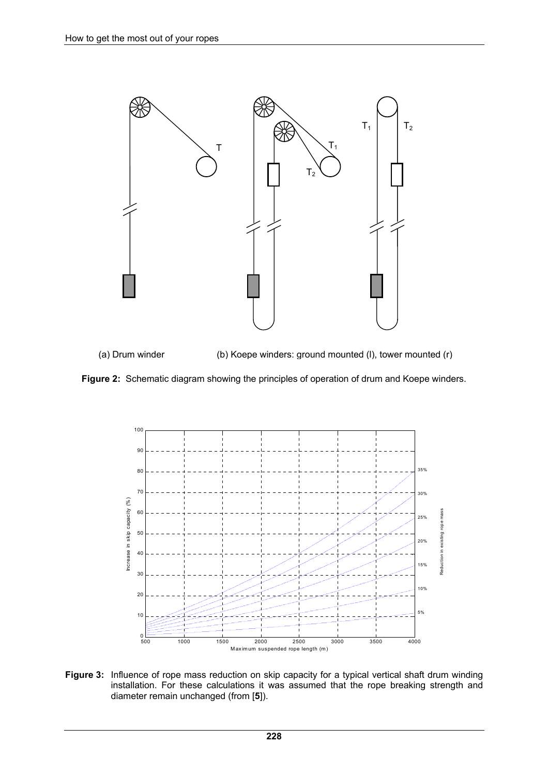

(a) Drum winder (b) Koepe winders: ground mounted (l), tower mounted (r)





**Figure 3:** Influence of rope mass reduction on skip capacity for a typical vertical shaft drum winding installation. For these calculations it was assumed that the rope breaking strength and diameter remain unchanged (from [**5**]).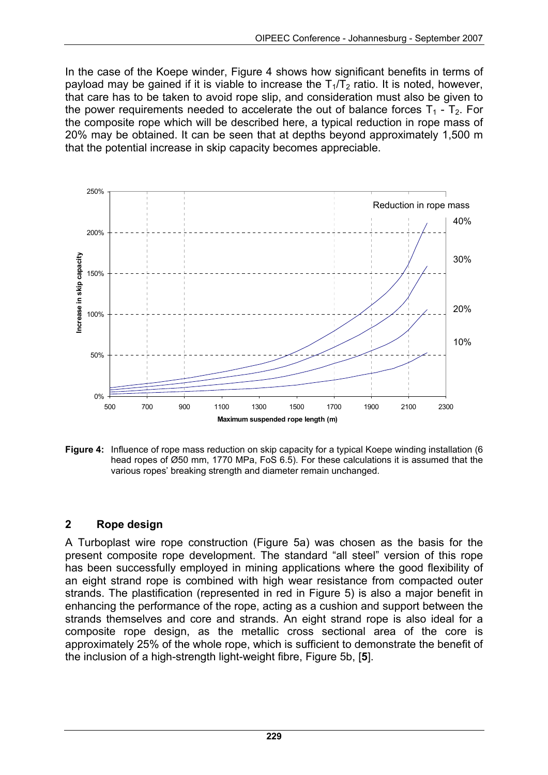In the case of the Koepe winder, Figure 4 shows how significant benefits in terms of payload may be gained if it is viable to increase the  $T_1/T_2$  ratio. It is noted, however, that care has to be taken to avoid rope slip, and consideration must also be given to the power requirements needed to accelerate the out of balance forces  $T_1 - T_2$ . For the composite rope which will be described here, a typical reduction in rope mass of 20% may be obtained. It can be seen that at depths beyond approximately 1,500 m that the potential increase in skip capacity becomes appreciable.



**Figure 4:** Influence of rope mass reduction on skip capacity for a typical Koepe winding installation (6) head ropes of Ø50 mm, 1770 MPa, FoS 6.5). For these calculations it is assumed that the various ropes' breaking strength and diameter remain unchanged.

# **2 Rope design**

A Turboplast wire rope construction (Figure 5a) was chosen as the basis for the present composite rope development. The standard "all steel" version of this rope has been successfully employed in mining applications where the good flexibility of an eight strand rope is combined with high wear resistance from compacted outer strands. The plastification (represented in red in Figure 5) is also a major benefit in enhancing the performance of the rope, acting as a cushion and support between the strands themselves and core and strands. An eight strand rope is also ideal for a composite rope design, as the metallic cross sectional area of the core is approximately 25% of the whole rope, which is sufficient to demonstrate the benefit of the inclusion of a high-strength light-weight fibre, Figure 5b, [**5**].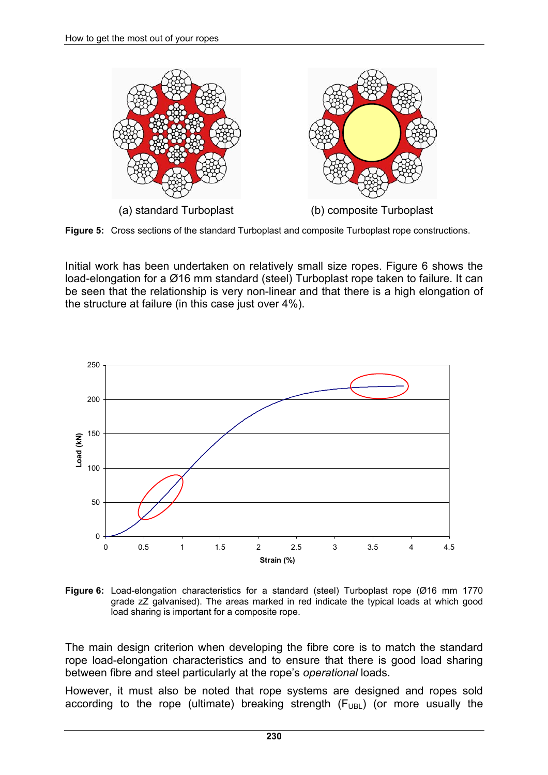

**Figure 5:** Cross sections of the standard Turboplast and composite Turboplast rope constructions.

Initial work has been undertaken on relatively small size ropes. Figure 6 shows the load-elongation for a Ø16 mm standard (steel) Turboplast rope taken to failure. It can be seen that the relationship is very non-linear and that there is a high elongation of the structure at failure (in this case just over 4%).



**Figure 6:** Load-elongation characteristics for a standard (steel) Turboplast rope (Ø16 mm 1770 grade zZ galvanised). The areas marked in red indicate the typical loads at which good load sharing is important for a composite rope.

The main design criterion when developing the fibre core is to match the standard rope load-elongation characteristics and to ensure that there is good load sharing between fibre and steel particularly at the rope's *operational* loads.

However, it must also be noted that rope systems are designed and ropes sold according to the rope (ultimate) breaking strength  $(F_{UBL})$  (or more usually the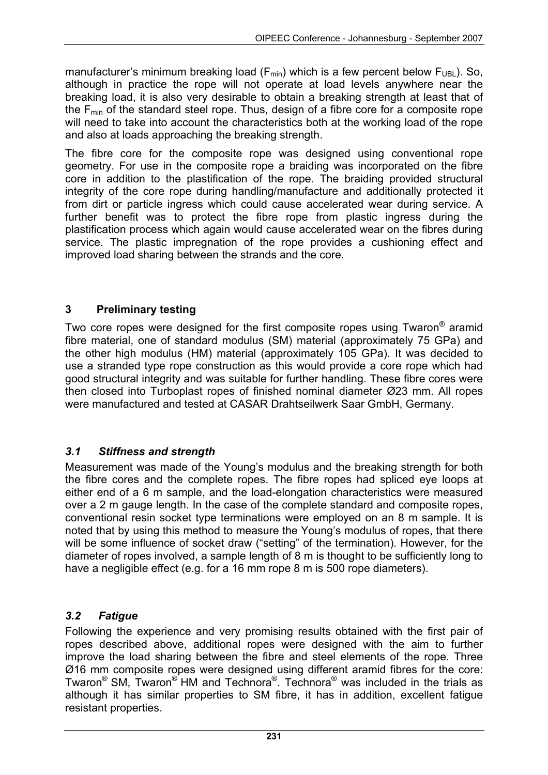manufacturer's minimum breaking load ( $F_{min}$ ) which is a few percent below  $F_{UBI}$ ). So, although in practice the rope will not operate at load levels anywhere near the breaking load, it is also very desirable to obtain a breaking strength at least that of the  $F_{min}$  of the standard steel rope. Thus, design of a fibre core for a composite rope will need to take into account the characteristics both at the working load of the rope and also at loads approaching the breaking strength.

The fibre core for the composite rope was designed using conventional rope geometry. For use in the composite rope a braiding was incorporated on the fibre core in addition to the plastification of the rope. The braiding provided structural integrity of the core rope during handling/manufacture and additionally protected it from dirt or particle ingress which could cause accelerated wear during service. A further benefit was to protect the fibre rope from plastic ingress during the plastification process which again would cause accelerated wear on the fibres during service. The plastic impregnation of the rope provides a cushioning effect and improved load sharing between the strands and the core.

## **3 Preliminary testing**

Two core ropes were designed for the first composite ropes using Twaron® aramid fibre material, one of standard modulus (SM) material (approximately 75 GPa) and the other high modulus (HM) material (approximately 105 GPa). It was decided to use a stranded type rope construction as this would provide a core rope which had good structural integrity and was suitable for further handling. These fibre cores were then closed into Turboplast ropes of finished nominal diameter Ø23 mm. All ropes were manufactured and tested at CASAR Drahtseilwerk Saar GmbH, Germany.

#### *3.1 Stiffness and strength*

Measurement was made of the Young's modulus and the breaking strength for both the fibre cores and the complete ropes. The fibre ropes had spliced eye loops at either end of a 6 m sample, and the load-elongation characteristics were measured over a 2 m gauge length. In the case of the complete standard and composite ropes, conventional resin socket type terminations were employed on an 8 m sample. It is noted that by using this method to measure the Young's modulus of ropes, that there will be some influence of socket draw ("setting" of the termination). However, for the diameter of ropes involved, a sample length of 8 m is thought to be sufficiently long to have a negligible effect (e.g. for a 16 mm rope 8 m is 500 rope diameters).

#### *3.2 Fatigue*

Following the experience and very promising results obtained with the first pair of ropes described above, additional ropes were designed with the aim to further improve the load sharing between the fibre and steel elements of the rope. Three Ø16 mm composite ropes were designed using different aramid fibres for the core: Twaron® SM, Twaron® HM and Technora®. Technora® was included in the trials as although it has similar properties to SM fibre, it has in addition, excellent fatigue resistant properties.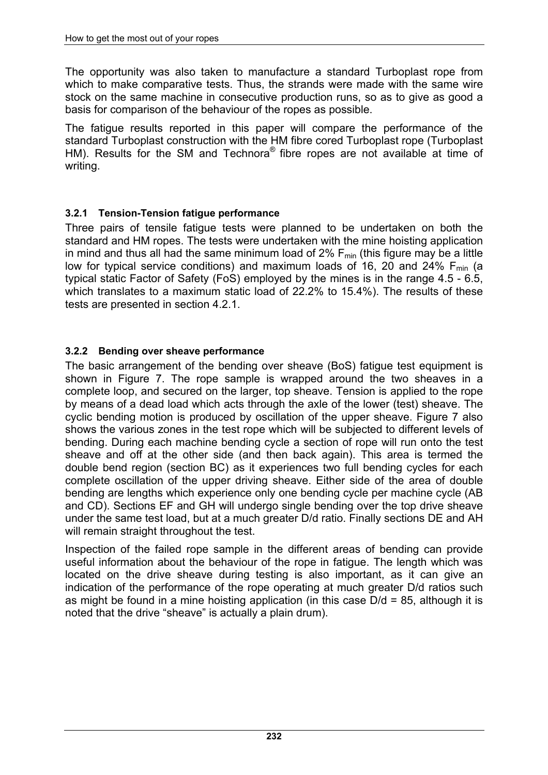The opportunity was also taken to manufacture a standard Turboplast rope from which to make comparative tests. Thus, the strands were made with the same wire stock on the same machine in consecutive production runs, so as to give as good a basis for comparison of the behaviour of the ropes as possible.

The fatigue results reported in this paper will compare the performance of the standard Turboplast construction with the HM fibre cored Turboplast rope (Turboplast HM). Results for the SM and Technora® fibre ropes are not available at time of writing.

## **3.2.1 Tension-Tension fatigue performance**

Three pairs of tensile fatigue tests were planned to be undertaken on both the standard and HM ropes. The tests were undertaken with the mine hoisting application in mind and thus all had the same minimum load of  $2\%$   $F_{min}$  (this figure may be a little low for typical service conditions) and maximum loads of 16, 20 and 24%  $F_{min}$  (a typical static Factor of Safety (FoS) employed by the mines is in the range 4.5 - 6.5, which translates to a maximum static load of 22.2% to 15.4%). The results of these tests are presented in section 4.2.1.

## **3.2.2 Bending over sheave performance**

The basic arrangement of the bending over sheave (BoS) fatigue test equipment is shown in Figure 7. The rope sample is wrapped around the two sheaves in a complete loop, and secured on the larger, top sheave. Tension is applied to the rope by means of a dead load which acts through the axle of the lower (test) sheave. The cyclic bending motion is produced by oscillation of the upper sheave. Figure 7 also shows the various zones in the test rope which will be subjected to different levels of bending. During each machine bending cycle a section of rope will run onto the test sheave and off at the other side (and then back again). This area is termed the double bend region (section BC) as it experiences two full bending cycles for each complete oscillation of the upper driving sheave. Either side of the area of double bending are lengths which experience only one bending cycle per machine cycle (AB and CD). Sections EF and GH will undergo single bending over the top drive sheave under the same test load, but at a much greater D/d ratio. Finally sections DE and AH will remain straight throughout the test.

Inspection of the failed rope sample in the different areas of bending can provide useful information about the behaviour of the rope in fatigue. The length which was located on the drive sheave during testing is also important, as it can give an indication of the performance of the rope operating at much greater D/d ratios such as might be found in a mine hoisting application (in this case D/d = 85, although it is noted that the drive "sheave" is actually a plain drum).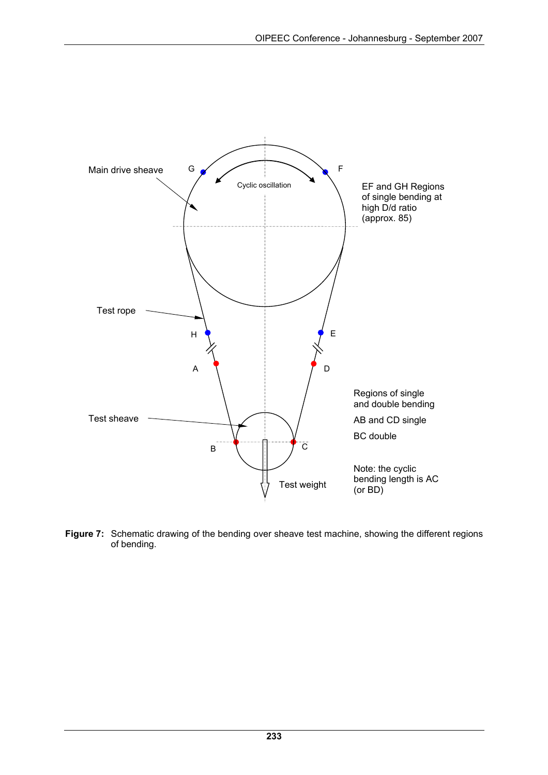

**Figure 7:** Schematic drawing of the bending over sheave test machine, showing the different regions of bending.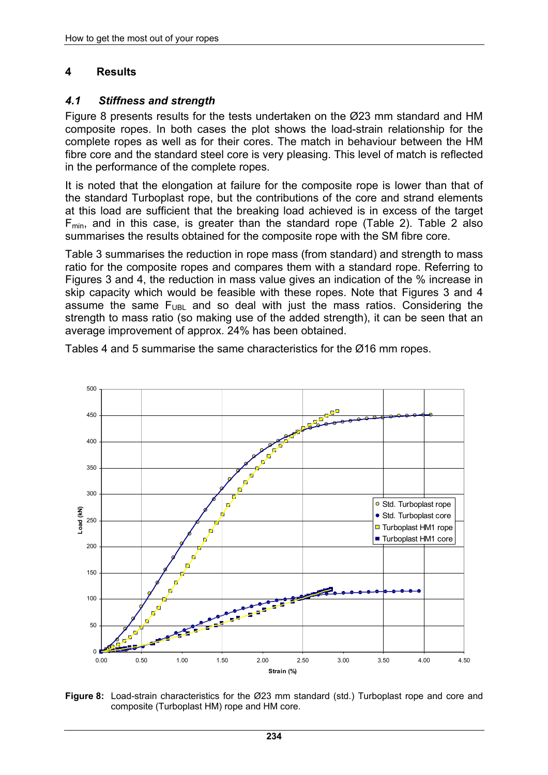## **4 Results**

#### *4.1 Stiffness and strength*

Figure 8 presents results for the tests undertaken on the Ø23 mm standard and HM composite ropes. In both cases the plot shows the load-strain relationship for the complete ropes as well as for their cores. The match in behaviour between the HM fibre core and the standard steel core is very pleasing. This level of match is reflected in the performance of the complete ropes.

It is noted that the elongation at failure for the composite rope is lower than that of the standard Turboplast rope, but the contributions of the core and strand elements at this load are sufficient that the breaking load achieved is in excess of the target  $F_{min}$ , and in this case, is greater than the standard rope (Table 2). Table 2 also summarises the results obtained for the composite rope with the SM fibre core.

Table 3 summarises the reduction in rope mass (from standard) and strength to mass ratio for the composite ropes and compares them with a standard rope. Referring to Figures 3 and 4, the reduction in mass value gives an indication of the % increase in skip capacity which would be feasible with these ropes. Note that Figures 3 and 4 assume the same  $F_{UBL}$  and so deal with just the mass ratios. Considering the strength to mass ratio (so making use of the added strength), it can be seen that an average improvement of approx. 24% has been obtained.



Tables 4 and 5 summarise the same characteristics for the Ø16 mm ropes.

**Figure 8:** Load-strain characteristics for the Ø23 mm standard (std.) Turboplast rope and core and composite (Turboplast HM) rope and HM core.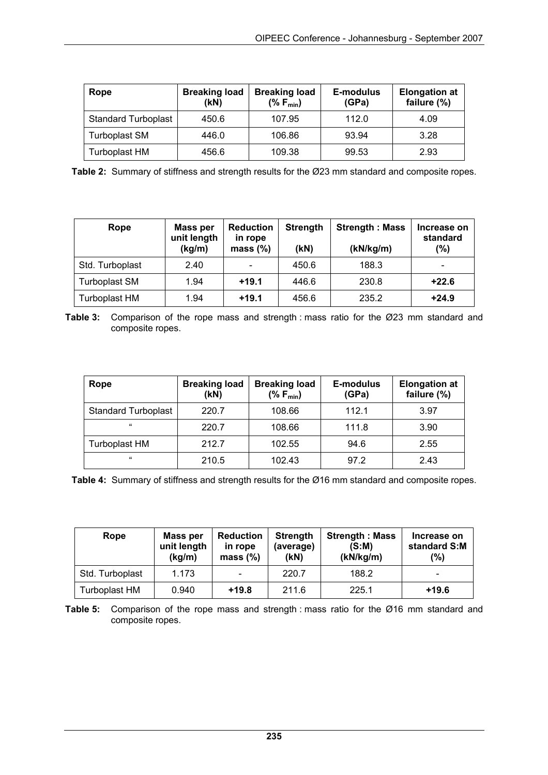| Rope                       | <b>Breaking load</b><br>(kN) | <b>Breaking load</b><br>$(%F_{min})$ | E-modulus<br>(GPa) | <b>Elongation at</b><br>failure (%) |
|----------------------------|------------------------------|--------------------------------------|--------------------|-------------------------------------|
| <b>Standard Turboplast</b> | 450.6                        | 107.95                               | 112.0              | 4.09                                |
| <b>Turboplast SM</b>       | 446.0                        | 106.86                               | 93.94              | 3.28                                |
| Turboplast HM              | 456.6                        | 109.38                               | 99.53              | 2.93                                |

**Table 2:** Summary of stiffness and strength results for the Ø23 mm standard and composite ropes.

| Rope                 | <b>Mass per</b><br>unit length<br>(kg/m) | <b>Reduction</b><br>in rope<br>mass $(\%)$ | <b>Strength</b><br>(kN) | <b>Strength: Mass</b><br>(kN/kg/m) | Increase on<br>standard<br>(%) |
|----------------------|------------------------------------------|--------------------------------------------|-------------------------|------------------------------------|--------------------------------|
| Std. Turboplast      | 2.40                                     |                                            | 450.6                   | 188.3                              | $\qquad \qquad \blacksquare$   |
| <b>Turboplast SM</b> | 1.94                                     | $+19.1$                                    | 446.6                   | 230.8                              | $+22.6$                        |
| <b>Turboplast HM</b> | 1.94                                     | $+19.1$                                    | 456.6                   | 235.2                              | $+24.9$                        |

**Table 3:** Comparison of the rope mass and strength : mass ratio for the Ø23 mm standard and composite ropes.

| Rope                       | <b>Breaking load</b><br>(kN) | <b>Breaking load</b><br>$(%F_{min})$ | E-modulus<br>(GPa) | <b>Elongation at</b><br>failure (%) |
|----------------------------|------------------------------|--------------------------------------|--------------------|-------------------------------------|
| <b>Standard Turboplast</b> | 220.7                        | 108.66                               | 112.1              | 3.97                                |
| $^{16}$                    | 220.7                        | 108.66                               | 111.8              | 3.90                                |
| Turboplast HM              | 212.7                        | 102.55                               | 94.6               | 2.55                                |
| $^{16}$                    | 210.5                        | 102.43                               | 97.2               | 2.43                                |

**Table 4:** Summary of stiffness and strength results for the Ø16 mm standard and composite ropes.

| Rope                 | Mass per<br>unit length<br>(kg/m) | <b>Reduction</b><br>in rope<br>mass $(\%)$ | <b>Strength</b><br>(average)<br>(kN) | <b>Strength: Mass</b><br>(S:M)<br>(kN/kg/m) | Increase on<br>standard S:M<br>(%) |
|----------------------|-----------------------------------|--------------------------------------------|--------------------------------------|---------------------------------------------|------------------------------------|
| Std. Turboplast      | 1.173                             |                                            | 220.7                                | 188.2                                       |                                    |
| <b>Turboplast HM</b> | 0.940                             | $+19.8$                                    | 211.6                                | 225.1                                       | $+19.6$                            |

**Table 5:** Comparison of the rope mass and strength : mass ratio for the Ø16 mm standard and composite ropes.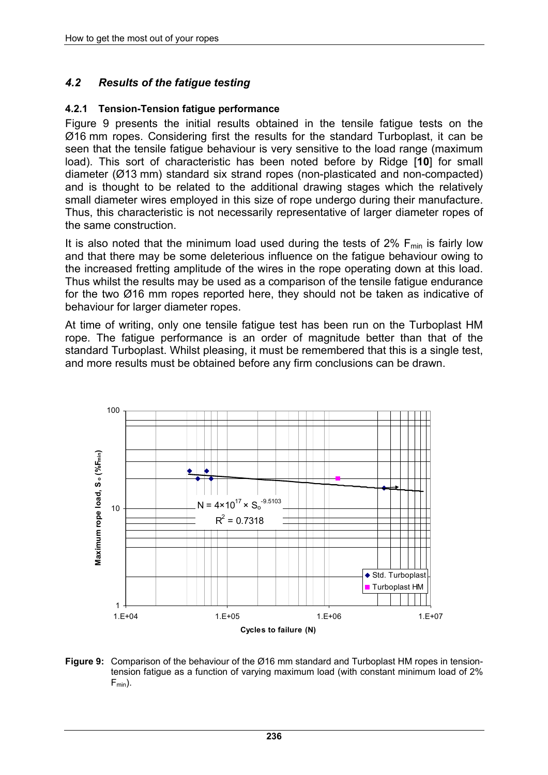# *4.2 Results of the fatigue testing*

#### **4.2.1 Tension-Tension fatigue performance**

Figure 9 presents the initial results obtained in the tensile fatigue tests on the Ø16 mm ropes. Considering first the results for the standard Turboplast, it can be seen that the tensile fatigue behaviour is very sensitive to the load range (maximum load). This sort of characteristic has been noted before by Ridge [**10**] for small diameter (Ø13 mm) standard six strand ropes (non-plasticated and non-compacted) and is thought to be related to the additional drawing stages which the relatively small diameter wires employed in this size of rope undergo during their manufacture. Thus, this characteristic is not necessarily representative of larger diameter ropes of the same construction.

It is also noted that the minimum load used during the tests of 2%  $F_{min}$  is fairly low and that there may be some deleterious influence on the fatigue behaviour owing to the increased fretting amplitude of the wires in the rope operating down at this load. Thus whilst the results may be used as a comparison of the tensile fatigue endurance for the two Ø16 mm ropes reported here, they should not be taken as indicative of behaviour for larger diameter ropes.

At time of writing, only one tensile fatigue test has been run on the Turboplast HM rope. The fatigue performance is an order of magnitude better than that of the standard Turboplast. Whilst pleasing, it must be remembered that this is a single test, and more results must be obtained before any firm conclusions can be drawn.



**Figure 9:** Comparison of the behaviour of the Ø16 mm standard and Turboplast HM ropes in tensiontension fatigue as a function of varying maximum load (with constant minimum load of 2%  $F_{min}$ ).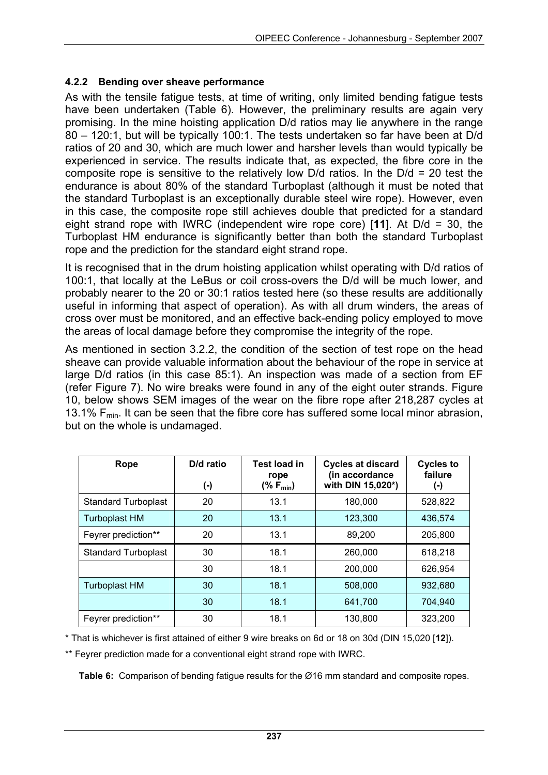#### **4.2.2 Bending over sheave performance**

As with the tensile fatigue tests, at time of writing, only limited bending fatigue tests have been undertaken (Table 6). However, the preliminary results are again very promising. In the mine hoisting application D/d ratios may lie anywhere in the range 80 – 120:1, but will be typically 100:1. The tests undertaken so far have been at D/d ratios of 20 and 30, which are much lower and harsher levels than would typically be experienced in service. The results indicate that, as expected, the fibre core in the composite rope is sensitive to the relatively low D/d ratios. In the D/d = 20 test the endurance is about 80% of the standard Turboplast (although it must be noted that the standard Turboplast is an exceptionally durable steel wire rope). However, even in this case, the composite rope still achieves double that predicted for a standard eight strand rope with IWRC (independent wire rope core) [**11**]. At D/d = 30, the Turboplast HM endurance is significantly better than both the standard Turboplast rope and the prediction for the standard eight strand rope.

It is recognised that in the drum hoisting application whilst operating with D/d ratios of 100:1, that locally at the LeBus or coil cross-overs the D/d will be much lower, and probably nearer to the 20 or 30:1 ratios tested here (so these results are additionally useful in informing that aspect of operation). As with all drum winders, the areas of cross over must be monitored, and an effective back-ending policy employed to move the areas of local damage before they compromise the integrity of the rope.

As mentioned in section 3.2.2, the condition of the section of test rope on the head sheave can provide valuable information about the behaviour of the rope in service at large D/d ratios (in this case 85:1). An inspection was made of a section from EF (refer Figure 7). No wire breaks were found in any of the eight outer strands. Figure 10, below shows SEM images of the wear on the fibre rope after 218,287 cycles at 13.1%  $F_{min}$ . It can be seen that the fibre core has suffered some local minor abrasion, but on the whole is undamaged.

| Rope                       | D/d ratio<br>(-) | <b>Test load in</b><br>rope<br>(% $F_{min}$ ) | <b>Cycles at discard</b><br>(in accordance<br>with DIN 15,020*) | <b>Cycles to</b><br>failure<br>(-) |
|----------------------------|------------------|-----------------------------------------------|-----------------------------------------------------------------|------------------------------------|
| <b>Standard Turboplast</b> | 20               | 13.1                                          | 180,000                                                         | 528,822                            |
| <b>Turboplast HM</b>       | 20               | 13.1                                          | 123,300                                                         | 436,574                            |
| Feyrer prediction**        | 20               | 13.1                                          | 89,200                                                          | 205,800                            |
| <b>Standard Turboplast</b> | 30               | 18.1                                          | 260,000                                                         | 618,218                            |
|                            | 30               | 18.1                                          | 200,000                                                         | 626,954                            |
| <b>Turboplast HM</b>       | 30               | 18.1                                          | 508,000                                                         | 932.680                            |
|                            | 30               | 18.1                                          | 641.700                                                         | 704.940                            |
| Feyrer prediction**        | 30               | 18.1                                          | 130,800                                                         | 323,200                            |

\* That is whichever is first attained of either 9 wire breaks on 6d or 18 on 30d (DIN 15,020 [**12**]).

\*\* Feyrer prediction made for a conventional eight strand rope with IWRC.

**Table 6:** Comparison of bending fatigue results for the Ø16 mm standard and composite ropes.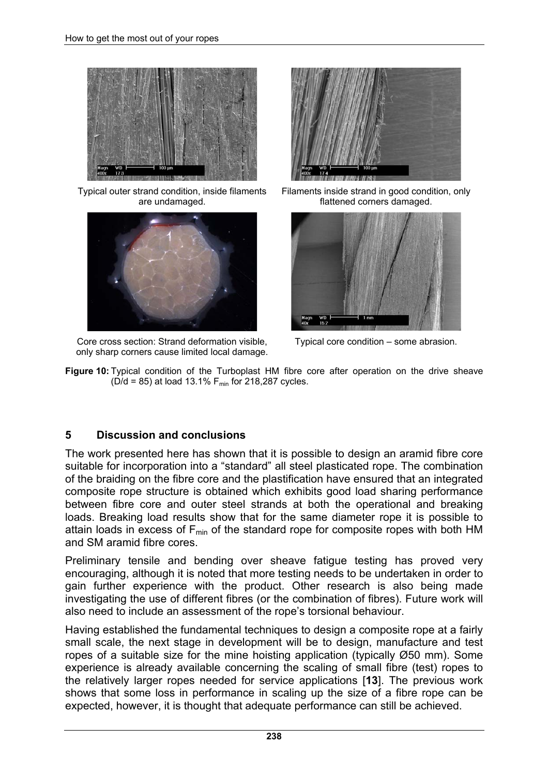

Typical outer strand condition, inside filaments are undamaged.



Core cross section: Strand deformation visible, only sharp corners cause limited local damage.



Filaments inside strand in good condition, only flattened corners damaged.



Typical core condition – some abrasion.

**Figure 10:** Typical condition of the Turboplast HM fibre core after operation on the drive sheave  $(D/d = 85)$  at load 13.1% F<sub>min</sub> for 218,287 cycles.

#### **5 Discussion and conclusions**

The work presented here has shown that it is possible to design an aramid fibre core suitable for incorporation into a "standard" all steel plasticated rope. The combination of the braiding on the fibre core and the plastification have ensured that an integrated composite rope structure is obtained which exhibits good load sharing performance between fibre core and outer steel strands at both the operational and breaking loads. Breaking load results show that for the same diameter rope it is possible to attain loads in excess of  $F_{min}$  of the standard rope for composite ropes with both HM and SM aramid fibre cores.

Preliminary tensile and bending over sheave fatigue testing has proved very encouraging, although it is noted that more testing needs to be undertaken in order to gain further experience with the product. Other research is also being made investigating the use of different fibres (or the combination of fibres). Future work will also need to include an assessment of the rope's torsional behaviour.

Having established the fundamental techniques to design a composite rope at a fairly small scale, the next stage in development will be to design, manufacture and test ropes of a suitable size for the mine hoisting application (typically Ø50 mm). Some experience is already available concerning the scaling of small fibre (test) ropes to the relatively larger ropes needed for service applications [**13**]. The previous work shows that some loss in performance in scaling up the size of a fibre rope can be expected, however, it is thought that adequate performance can still be achieved.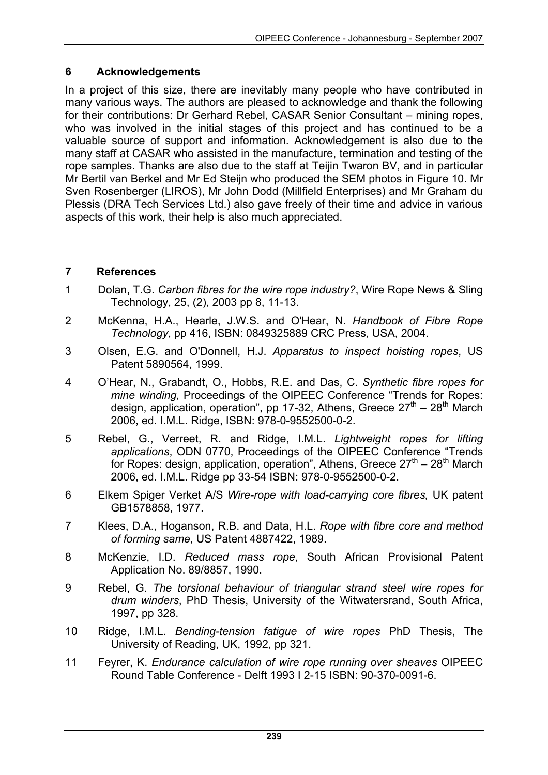## **6 Acknowledgements**

In a project of this size, there are inevitably many people who have contributed in many various ways. The authors are pleased to acknowledge and thank the following for their contributions: Dr Gerhard Rebel, CASAR Senior Consultant – mining ropes, who was involved in the initial stages of this project and has continued to be a valuable source of support and information. Acknowledgement is also due to the many staff at CASAR who assisted in the manufacture, termination and testing of the rope samples. Thanks are also due to the staff at Teijin Twaron BV, and in particular Mr Bertil van Berkel and Mr Ed Steijn who produced the SEM photos in Figure 10. Mr Sven Rosenberger (LIROS), Mr John Dodd (Millfield Enterprises) and Mr Graham du Plessis (DRA Tech Services Ltd.) also gave freely of their time and advice in various aspects of this work, their help is also much appreciated.

## **7 References**

- 1 Dolan, T.G. *Carbon fibres for the wire rope industry?*, Wire Rope News & Sling Technology, 25, (2), 2003 pp 8, 11-13.
- 2 McKenna, H.A., Hearle, J.W.S. and O'Hear, N. *Handbook of Fibre Rope Technology*, pp 416, ISBN: 0849325889 CRC Press, USA, 2004.
- 3 Olsen, E.G. and O'Donnell, H.J. *Apparatus to inspect hoisting ropes*, US Patent 5890564, 1999.
- 4 O'Hear, N., Grabandt, O., Hobbs, R.E. and Das, C. *Synthetic fibre ropes for mine winding,* Proceedings of the OIPEEC Conference "Trends for Ropes: design, application, operation", pp 17-32, Athens, Greece  $27<sup>th</sup> - 28<sup>th</sup>$  March 2006, ed. I.M.L. Ridge, ISBN: 978-0-9552500-0-2.
- 5 Rebel, G., Verreet, R. and Ridge, I.M.L. *Lightweight ropes for lifting applications*, ODN 0770, Proceedings of the OIPEEC Conference "Trends for Ropes: design, application, operation", Athens, Greece  $27<sup>th</sup> - 28<sup>th</sup>$  March 2006, ed. I.M.L. Ridge pp 33-54 ISBN: 978-0-9552500-0-2.
- 6 Elkem Spiger Verket A/S *Wire-rope with load-carrying core fibres,* UK patent GB1578858, 1977.
- 7 Klees, D.A., Hoganson, R.B. and Data, H.L. *Rope with fibre core and method of forming same*, US Patent 4887422, 1989.
- 8 McKenzie, I.D. *Reduced mass rope*, South African Provisional Patent Application No. 89/8857, 1990.
- 9 Rebel, G. *The torsional behaviour of triangular strand steel wire ropes for drum winders*, PhD Thesis, University of the Witwatersrand, South Africa, 1997, pp 328.
- 10 Ridge, I.M.L. *Bending-tension fatigue of wire ropes* PhD Thesis, The University of Reading, UK, 1992, pp 321.
- 11 Feyrer, K. *Endurance calculation of wire rope running over sheaves* OIPEEC Round Table Conference - Delft 1993 I 2-15 ISBN: 90-370-0091-6.